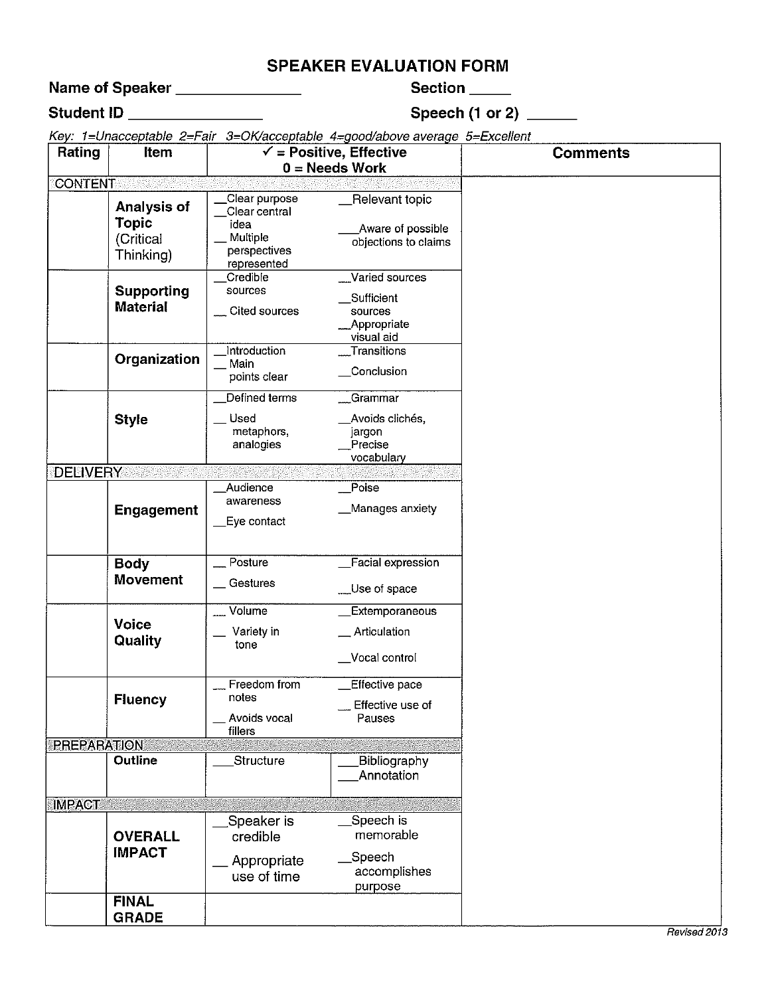### **SPEAKER EVALUATION FORM**

Name of Speaker \_\_\_\_\_\_\_\_\_\_\_\_\_\_

Section \_\_\_\_

### Student ID \_\_\_\_\_\_\_\_\_\_\_\_\_\_

### Speech (1 or 2)  $\frac{ }{ }$

Key: 1=Unacceptable 2=Fair 3=OK/acceptable 4=good/above average 5=Excellent

| Rating             | Item                                                  |                                                                                   | <br>$\checkmark$ = Positive, Effective<br>$0 = Needs Work$           | <b>Comments</b> |
|--------------------|-------------------------------------------------------|-----------------------------------------------------------------------------------|----------------------------------------------------------------------|-----------------|
| CONTENT            |                                                       |                                                                                   |                                                                      |                 |
|                    | Analysis of<br><b>Topic</b><br>(Critical<br>Thinking) | Clear purpose<br>Clear central<br>idea<br>Multiple<br>perspectives<br>represented | Relevant topic<br>Aware of possible<br>objections to claims          |                 |
|                    | <b>Supporting</b><br><b>Material</b>                  | Credible<br>sources<br>Cited sources                                              | Varied sources<br>Sufficient<br>sources<br>Appropriate<br>visual aid |                 |
|                    | Organization                                          | <b>Introduction</b><br>Main<br>points clear                                       | Transitions<br>Conclusion                                            |                 |
|                    | <b>Style</b>                                          | Defined terms<br>Used<br>metaphors,<br>analogies                                  | Grammar<br>Avoids clichés,<br>jargon<br>Precise<br>vocabulary        |                 |
| <b>DELIVERY</b>    |                                                       |                                                                                   |                                                                      |                 |
|                    | <b>Engagement</b>                                     | Audience<br>awareness<br>Eye contact                                              | Poise<br>Manages anxiety                                             |                 |
|                    | <b>Body</b><br><b>Movement</b>                        | Posture<br>Gestures                                                               | Facial expression<br>__Use of space                                  |                 |
|                    | <b>Voice</b><br>Quality                               | Volume<br>Variety in<br>tone                                                      | Extemporaneous<br>_ Articulation<br>Vocal control                    |                 |
|                    | <b>Fluency</b>                                        | Freedom from<br>notes<br>Avoids vocal<br>fillers                                  | Effective pace<br>Effective use of<br>Pauses                         |                 |
| <b>PREPARATION</b> |                                                       |                                                                                   |                                                                      |                 |
|                    | <b>Outline</b>                                        | Structure                                                                         | Bibliography<br>Annotation                                           |                 |
| <b>IMPACT</b>      |                                                       |                                                                                   |                                                                      |                 |
|                    | <b>OVERALL</b><br><b>IMPACT</b>                       | Speaker is<br>credible<br>Appropriate                                             | Speech is<br>memorable<br>Speech                                     |                 |
|                    |                                                       | use of time                                                                       | accomplishes<br>purpose                                              |                 |
|                    | <b>FINAL</b><br><b>GRADE</b>                          |                                                                                   |                                                                      |                 |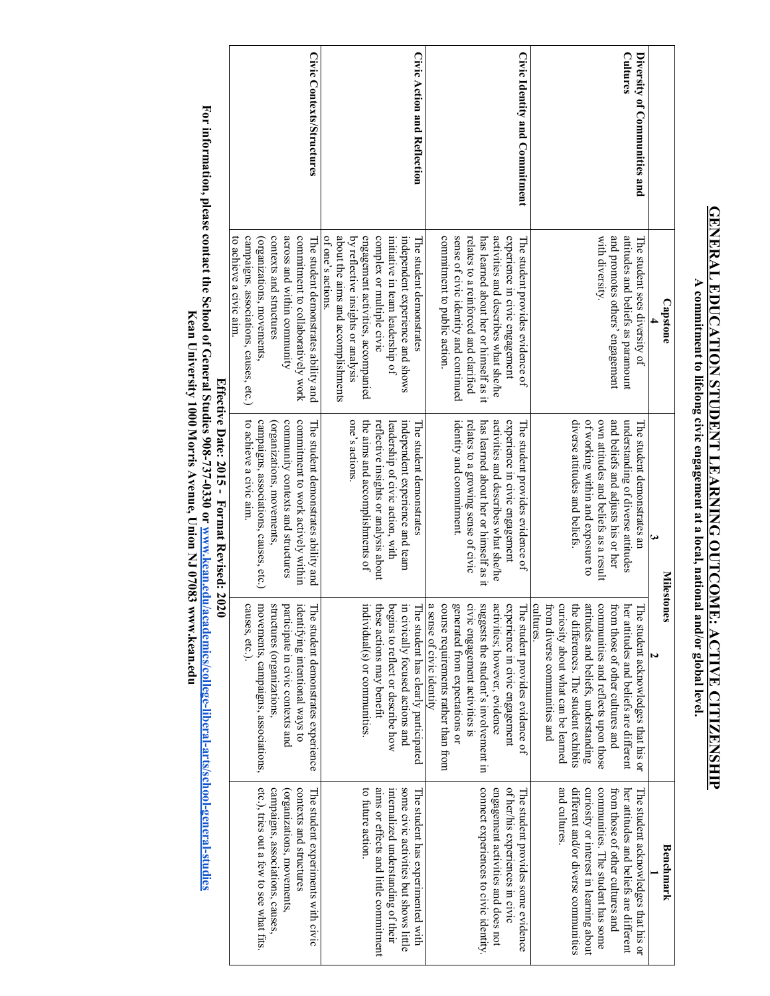## **GENERAL EDUCATION STUDENT LEARNING OUTCOME: ACTIVE CITIZENSHIP GENERAL EDUCATION STUDENT LEARNING OUTCOME: ACTIVE CITIZENSHIP**

A commitment to lifelong civic engagement at a local, national and/or global level. **A commitment to lifelong civic engagement at a local, national and/or global level.** 

|                                                 | <b>Capstone</b>                                                                                                                    |                                                                                                                                                    | <b>Milestones</b>                                                                                                                                        | Benchmark                                                                                                                                                |
|-------------------------------------------------|------------------------------------------------------------------------------------------------------------------------------------|----------------------------------------------------------------------------------------------------------------------------------------------------|----------------------------------------------------------------------------------------------------------------------------------------------------------|----------------------------------------------------------------------------------------------------------------------------------------------------------|
| <b>Cultures</b><br>Diversity of Communities and | attitudes and beliefs as paramount<br>The student sees diversity of                                                                | understanding of diverse attitudes<br>The student demonstrates an                                                                                  | her attitudes and beliefs are different<br>The student acknowledges that his or                                                                          | her attitudes and beliefs are different<br>The student acknowledges that his or                                                                          |
|                                                 | with diversity.<br>and promotes others' engagement                                                                                 | diverse attitudes and beliefs.<br>of working within and exposure to<br>own attitudes and beliefs as a result<br>and beliefs and adjusts his or her | attitudes and beliefs, understanding<br>communities and reflects upon those<br>the differences. The student exhibits<br>from those of other cultures and | different and/or diverse communities<br>curiosity or interest in learning about<br>communities. The student has some<br>from those of other cultures and |
|                                                 |                                                                                                                                    |                                                                                                                                                    | cultures.<br>curiosity about what can be learned<br>from diverse communities and                                                                         | and cultures.                                                                                                                                            |
| Civic Identity and Commitment                   | experience in civic engagement<br>The student provides evidence of                                                                 | experience in civic engagement<br>The student provides evidence of                                                                                 | experience in civic engagement<br>The student provides evidence of                                                                                       | of her/his experiences in civic<br>The student provides some evidence                                                                                    |
|                                                 | activities and describes what she/he<br>has learned about her or himself as it                                                     | activities and describes what she/he<br>has learned about her or himself as it                                                                     | suggests the student's involvement in<br>activities; however, evidence                                                                                   | connect experiences to civic identity.<br>engagement activities and does not                                                                             |
|                                                 | sense of civic identity and continued<br>commitment to public action.<br>relates to a reinforced and clarified                     | identity and commitment.<br>relates to a growing sense of civic                                                                                    | a sense of civic identity<br>course requirements rather than from<br>civic engagement activities is<br>generated from expectations or                    |                                                                                                                                                          |
| Civic Action and Reflection                     | independent experience and shows<br>The student demonstrates                                                                       | independent experience and team<br>he student demonstrates                                                                                         | in civically focused actions and<br>The student has clearly participated                                                                                 | some civic activities but shows little<br>The student has experimented with                                                                              |
|                                                 | complex or multiple civic<br>initiative in team leadership of                                                                      | reflective insights or analysis about<br>leadership of civic action, with                                                                          | these actions may benefit<br>begins to reflect or describe how                                                                                           | aims or effects and little commitment<br>internalized understanding of their                                                                             |
|                                                 | about the aims and accomplishments<br>by reflective insights or analysis<br>engagement activities, accompanied<br>of one's actions | one's actions.<br>the aims and accomplishments of                                                                                                  | individual(s) or communities.                                                                                                                            | to future action.                                                                                                                                        |
| Civic Contexts/Structures                       | across and within community<br>commitment to collaboratively work<br>The student demonstrates ability and                          | commitment to work actively within<br>community contexts and structures<br>The student demonstrates ability and                                    | participate in civic contexts and<br>identifying intentional ways to<br>The student demonstrates experience                                              | contexts and structures<br>The student experiments with civic<br>organizations, movements,                                                               |
|                                                 | to achieve a civic aim.<br>campaigns, associations, causes, etc.)<br>contexts and structures<br>(organizations, movements)         | to achieve a civic aim.<br>campaigns, associations, causes, etc.)<br>(organizations, movements,                                                    | movements, campaigns, associations,<br>causes, etc.).<br>structures (organizations,                                                                      | etc.), tries out a few to see what fits.<br>campaigns, associations, causes                                                                              |
|                                                 |                                                                                                                                    | Fifterive Date: 2015 - Format Revised: 2020                                                                                                        |                                                                                                                                                          |                                                                                                                                                          |

**Effective Date: 2015 - Format Revised: 2020** 

For information, please contact the School of General Studies 908-737-0330 or <u>www.kean.edu/academics/college-liberal-arts/school-general-studies</u><br>For information, please contact the School of General Studies 908-737-0330 **For information, please contact the School of General Studies 908-737-0330 or Kean University 1000 Morris Avenue, Union NJ 07083 www.kean.eduwww.kean.edu/academics/college-liberal-arts/school-general-studies**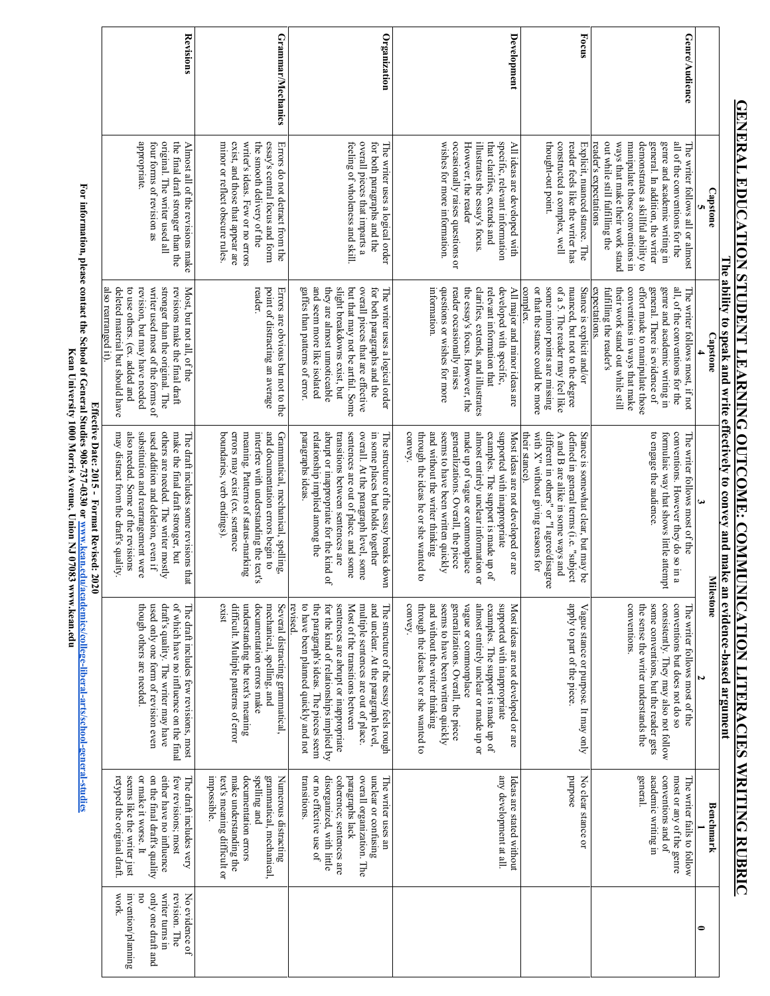### Grammar/Mechanics Organization Development **Revisions Revisions Development Focus** Genre/Audience **Grammar/Mechanics Organization Genre/Audience** exist, and those that appear are Errors do not detract from the occasionally raises questions or specific, relevant information manipulate those conventions in demonstrates a skillful ability to appropriate. four torms of revision as original. The writer used all the final draft stronger than the the final draft stronger than the Almost all of the revisions make minor or reflect obscure rules. minor or reflect obscure rules. writer's ideas. Few or no errors writer's ideas. Few or no errors the smooth delivery of the the smooth delivery of the essay's central focus and form Errors do not detract from the feeling of wholeness and skill overall pieces that imparts a for both paragraphs and the wishes for more information wishes for more information. However, the reader illustrates the essay's focus that clarifies, extends and that clarifies, extends and All ideas are developed with thought constructed a complex, well reader feels like the writer has reader feels like the wri Explicit, nuanced stance. The Explicit, nuanced stance. The reader's expectations out while still fulfilling the ways that make their work stand ways that make their work stand manipulate those conventions in general. In addition, the writer genre and academic writing in all of the conventions for the appropriate. four forms of revision as original. The writer used all Almost all of the revisions make exist, and those that appear are essay's central focus and form feeling of wholeness and skill. overall pieces that imparts a for both paragraphs and the The writer uses a logical order occasionally raises questions or However, the reader illustrates the essay's focus. specific, relevant information All ideas are developed with constructed a complex, well reader's expectations out while still fulfilling the demonstrates a skillful ability to general. In addition, the writer genre and academic writing in all of the conventions for the The writer follows all or almost The writer uses a logical order The writer follows all or almost -out point. **Capstone 5** The ability to speak and write effectively to convey and make an evidence-based argument **The ability to speak and write effectively to convey and make an evidence-based argument**  writer used most of the forms of revisions make the final draft Most, but not all, of the slight breakdowns exist, but but that may not be artful. Some overall pieces that are ettective questions or wishes for more reader occasionally raises developed with specific, or that the stance could be more some mnot points are missing of a 5. The reader may feel like nuanced, but not to the degree Stance is explicit and/or conventions in ways that make effort made to manipulate those genre and academic writing in all, of the conventions for the deleted material but should have to use others. (ex. added and revision, but may have needed stronger than the original. The point of distracting an average Errors are obvious but not to the gattes than patterns of error and seem more like isolated they are almost unnoticeable for both paragraphs and the The writer uses a logical order information. the essay's focus. However, the clarifies, extends, and illustrates relevant information that All major and minor ideas are their work stand out while still general. There is evidence of The writer follows most, if not also rearranged it). deleted material but should have to use others. (ex. added and revision, but may have needed writer used mo stronger than the original. The revisions make the final draft Most, but not all, of the rea point of distracting an average Errors are obvious but not to the gaffes than patterns of error. and seem more like isolated they are almost unnoticeable slight breakdowns exist, but but that may not be artful. Some overall pieces that are effective The writer uses a logical order information. questions or wishes for more reader occasionally raises the essay's focus. However, the clarifies, extends, and illustrates relevant information that developed with specific, All major and minor ideas are complex. or that the stance could be more some minor points are missing of a 5. The reader may feel like nuanced, but not to the degree Stance is explicit and/or expectations. expectations fultilling the reader's fulfilling the their work stand out while still conventions in ways that make effort made to manipulate those general. There is evidence of genre and academic writing in all, of the conventions for the The writer follows most, if not also rearranged it) der. aragraphs and the **Capstone** st of the forms of **4 Effective Date: 2015**  abrupt or inappropriate for the kind of almost entirely unclear information or with  $X<sup>n</sup>$  without giving reasons for different in others" or "I agree/disagree conventions. However they do so in a may distract from the draft's quality also needed. Some of the revisions substitution and rearrangement were used addition and deletion, even if others are needed. The writer mostly boundaries, verb endings). errors may exist (ex. sentence meaning. Patterns of status-marking and documentation errors begin to Grammatical, mechanical, spelling, paragraphs ideas relationship implied among the sentences are out of place. and some overall. At the paragraph level, some in some places but holds together convey. and without the writer thinking seems to have been written quickly generalizations. Overall, the piece made up of vague or commonplace examples. The support is made up of supported with inappropriate Most ideas are not developed or are A and B are alike in some ways and defined in general terms (i.e. "subject Stance is somewhat clear, but may be to engage the audience. formulaic way that shows little attempt may distract from the draft's quality. also needed. Some of the revisions substitution and rearrangement were though others are needed. used additio others are needed. The writer mostly make the final draft stronger, but make the final draft stronger, but The draft includes some revisions that boundaries, verb endings). errors may exist (ex. sentence meaning. Patterns of status interfere with understanding the text's interfere with understanding the text's and documentation errors begin to Grammatical, mechanical, spelling, paragraphs ideas. relationship implied among the abrupt or inappropriate for the kind of transitions between sentences are transitions between sentences are sentences are out of place. and some overall. At the paragraph level, some in some places The structure of the essay breaks down The structure of the essay breaks down through the ideas he or she wanted to through the ideas he or she wanted to and without the writer thinking seems to have been written quickly generalizations. Overall, the piece made up of vague or commonplace almost entirely unclear information or examples. The support is mad supported with inappropriate Most ideas are not developed or are their stance). with X" without giving reasons for different in others" or "I agree/disagree A and B are alike in some ways and defined in general terms (i.e. "subject Stance is somewhat clear, but may be to engage the audience. formulaic way that shows little attempt conventions. However they do so in a The writer follows most of the The writer follows most of the The draft includes some revisions that heir stance) n and deletion, even if but holds together **Format Revised: 2020 3 2 Milestone Milestone** consistently. They may also not follow conventions but does not do so used only one form of revision even draft's quality. The writer may have of which have no influence on the final exist difficult. Multiple patterns of error understanding the text's meaning documentation errors make mechanical, spelling, and to have been planned quickly and not the paragraph's ideas. The pieces seem for the kind of relationships implied by sentences are abrupt or inappropriate Most of the transitions between multiple sentences are out of place and unclear. At the paragraph level The structure of the essay feels rough convey. through the ideas he or she wanted to and without the writer thinking generalizations. Overall, the piece vague or commonplace almost entirely unclear or made up or examples. The support is made up of supported with inappropriate apply to part of the piece. Vague stance or purpose. It may only conventions. some conventions, but the reader gets though others are needed used only one form of revision even draft's quality. The writer may have of which have no influence on the final The draft includes few revisions, most difficult. Multiple patterns of error understanding the text's meaning documentation errors make mechanical, sp Several distracting grammatical, revised. to have been planned quickly an the paragraph's ideas. The pieces seem for the kind of relationships implied by sentences are abrupt or inappropriate Most of the transitions between multiple sentences are out of place. and unclear. At the paragraph level, The structure of the essay feels rough through the ideas he and without the writer thinking seems to have been written quickly seems to have been written quickly generalizations. Overall, the piece vague or commonplace almost entirely unclear or made up or examples. The support is made up of supported with inappropriate Most ideas are not developed or are Most ideas are not developed apply to part o Vague stance or purpose. It may only conventions. the sense the writer understands the the sense the writer understands the some conventions, but the reader gets consistently. They may also not follo conventions but does not do so The writer follows most of the The writer follows most of the The draft includes few revisions, most Several distracting grammatical, or she wanted to or are academic writing in retyped the original draft seems like the writer just or make it worse. It on the final draft's quality either have no influence few revisions; most make understanding the documentation errors spelling and grammatical, mechanical, Numerous distracting Numerous distracting transitions or no effective use of disorganized, with little coherence; sentences are paragraphs lack overall organization. The unclear or confusing any development at all. purpose No clear stance or No clear stance or general. conventions and of most or any of the genre retyped the original draft. seems like the writer just or make it worse. It on the final draft's quality either have no influence few revisions; most The draft includes very impossibl e. text's meaning difficult or make understanding the documentation errors spelling and grammatical, mechanical, transitions. or no effective use of disorganized, with little coherence; sentences are paragraphs lack overall organization. The unclear or confusing The writer uses an The writer uses an any development at all. Ideas are stated without Ideas are stated without academic writing in conventions and of most or any of the genre The writer fails to follow The writer fails to follow The draft includes very Benchmark **Benchmark 1** work. no only one draft and nvention/planning writer turns in writer turns in revision. The revision. The No evidence of No evidence of invention/plan only one draft and **0**

**GENERAL EDUCATION STUDENT LEARNING OUTCOME: COMMUNICATION LITERACIES WRITING RUBRIC**

**GENERAL EDUCATION STUDENT LEARNING OUTCOME: COMMUNICATION LITERACIES WRITING RUBRIC** 

For information, please contact the School of General Studies 908-737-0330 or www.kean.edu/academics/college-liberal-attis/school-general-studies **For information, please contact the School of General Studies 908-737-0330 or** Kean University 1000 Morris Avenue, Union NJ 07083 www.kean.edu **Kean University 1000 Morris Avenue, Union NJ 07083 www.kean.edu**Effective Date: 2015 - Format Revised: 2020 **www.kean.edu/academics/college-liberal-arts/school-general-studies**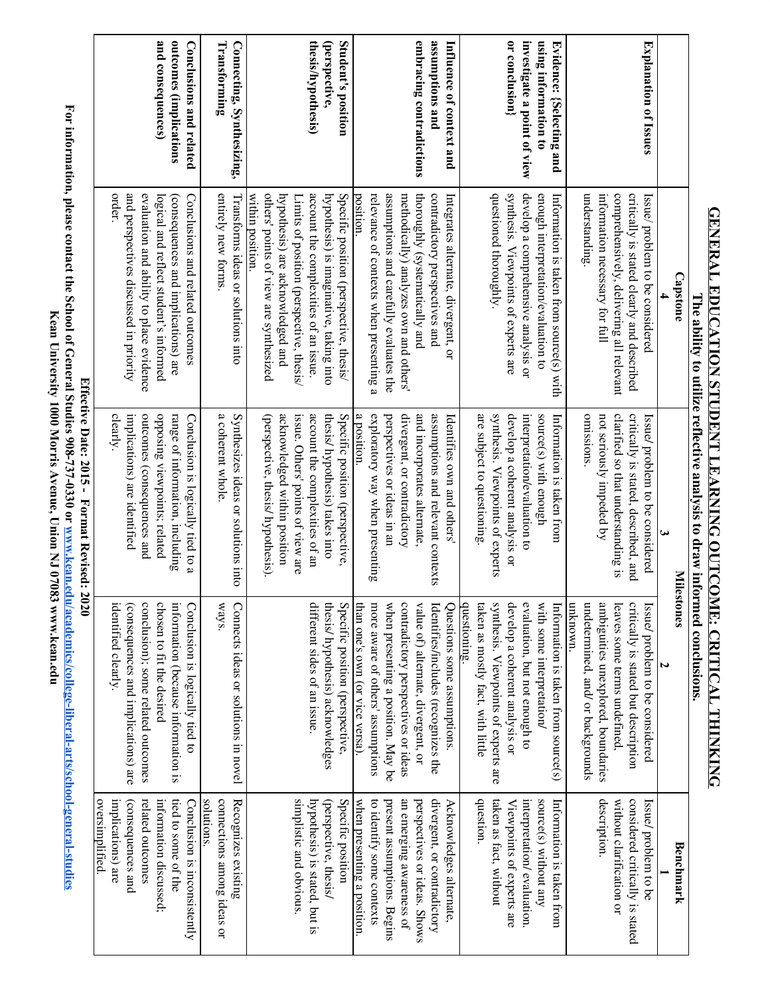|                             |                                                                               | The ability to utilize reflective analysis to draw informed conclusions. |                                                                         |                                                        |
|-----------------------------|-------------------------------------------------------------------------------|--------------------------------------------------------------------------|-------------------------------------------------------------------------|--------------------------------------------------------|
|                             | <b>Capstone</b>                                                               | Miles                                                                    | tones                                                                   | Benchmark                                              |
|                             |                                                                               | ω                                                                        | W                                                                       |                                                        |
| Explanation of Issues       | critically is stated clearly and described<br>Issue/ problem to be considered | critically is stated, described, and<br>Issue/problem to be considered   | critically is stated but description<br>Issue/ problem to be considered | considered critically is stated<br>Issue/problem to be |
|                             | comprehensively, delivering all relevant                                      | clarified so that understanding is                                       | leaves some terms undefined,                                            | without clarification or                               |
|                             | information necessary for full                                                | not seriously impeded by                                                 | ambiguities unexplored, boundaries                                      | description.                                           |
|                             | understanding.                                                                | omissions.                                                               | undetermined, and/ or backgrounds                                       |                                                        |
|                             |                                                                               |                                                                          | unknown.                                                                |                                                        |
| Evidence: {Selecting and    | Information is taken from source(s) with                                      | Information is taken from                                                | Information is taken from source(s)                                     | Information is taken from                              |
| using information to        | enough interpretation/evaluation to                                           | source(s) with enough                                                    | with some interpretation/                                               | source(s) without any                                  |
| investigate a point of view | develop a comprehensive analysis or                                           | interpretation/evaluation to                                             | evaluation, but not enough to                                           | interpretation/evaluation.                             |
| or conclusion}              | synthesis. Viewpoints of experts are                                          | develop a coherent analysis or                                           | develop a coherent analysis or                                          | Viewpoints of experts are                              |
|                             | questioned thoroughly.                                                        | synthesis. Viewpoints of experts                                         | synthesis. Viewpoints of experts are                                    | taken as fact, without                                 |
|                             |                                                                               | are subject to questioning.                                              | questioning.<br>taken as mostly fact, with little                       | question.                                              |
| Influence of context and    | Integrates alternate, divergent, or                                           | Identifies own and others'                                               | Questions some assumptions.                                             | Acknowledges alternate,                                |
| assumptions and             | contradictory perspectives and                                                | assumptions and relevant contexts                                        | Identifies/includes (recognizes the                                     | divergent, or contradictory                            |
| embracing contradictions    | thoroughly (systematically and                                                | and incorporates alternate.                                              | value of) alternate, divergent, or                                      | perspectives or ideas. Shows                           |
|                             | methodically) analyzes own and others'                                        | divergent, or contradictory                                              | contradictory perspectives or ideas                                     | an emerging awareness of                               |
|                             | assumptions and carefully evaluates the                                       | perspectives or ideas in an                                              | when presenting a position. May be                                      | present assumptions. Begins                            |
|                             | relevance of contexts when presenting a                                       | a position.<br>exploratory way when presenting                           | than one's own (or vice versa).<br>more aware of others' assumptions    | to identify some contexts                              |
| Student's position          | Specific position (perspective, thesis/<br>position.                          | Specific position (perspective,                                          | Specific position (perspective,                                         | Specific position<br>when presenting a position.       |
| (perspective,               | hypothesis) is imaginative, taking into                                       | thesis/ hypothesis) takes into                                           | thesis/ hypothesis) acknowledges                                        | (perspective, thesis/                                  |
| thesis/hypothesis)          | account the complexities of an issue.                                         | account the complexities of an                                           | different sides of an issue.                                            | hypothesis) is stated, but is                          |
|                             | Limits of position (perspective, thesis/                                      | issue. Others' points of view are                                        |                                                                         | simplistic and obvious.                                |
|                             | hypothesis) are acknowledged and                                              | acknowledged within position                                             |                                                                         |                                                        |
|                             | others' points of view are synthesized<br>within position.                    | (perspective, thesis/ hypothesis).                                       |                                                                         |                                                        |
| Connecting, Synthesizing,   | Transforms ideas or solutions into                                            | Synthesizes ideas or solutions into                                      | Connects ideas or solutions in novel                                    | Recognizes existing                                    |
| Transforming                | entirely new forms                                                            | a coherent whole                                                         | ways.                                                                   | solutions.<br>connections among ideas or               |
| Conclusions and related     | Conclusions and related outcomes                                              | Conclusion is logically tied to a                                        | Conclusion is logically tied to                                         | Conclusion is inconsistently                           |
| outcomes (implications      | (consequences and implications) are                                           | range of information, including                                          | information (because information is                                     | tied to some of the                                    |
| and consequences)           | logical and reflect student's informed                                        | opposing viewpoints; related                                             | chosen to fit the desired                                               | information discussed;                                 |
|                             | evaluation and ability to place evidence                                      | outcomes (consequences and                                               | conclusion); some related outcomes                                      | related outcomes                                       |
|                             | and perspectives discussed in priority                                        | implications) are identified                                             | (consequences and implications) are                                     | consequences and                                       |
|                             | order.                                                                        | clearly.                                                                 | identified clearly.                                                     | implications) are                                      |
|                             |                                                                               | Effective Date: 2015 - Format Revised: 2020                              |                                                                         | oversimplified.                                        |
|                             |                                                                               |                                                                          |                                                                         |                                                        |

**GENERAL EDUCATION STUDENT LEARNING OUTCOME: CRITICAL THINKING**

**GENERAL EDUCATION STUDENT LEARNING OUTCOME: CRITICAL THINKING** 

**of General Stu dies 908-737-0330 or w w w.kean.ed**

**dies**

**For information, please contact the School u/academics/college-liberal-arts/school-general-stu Kean U niversity 1000 Morris A ven ue, U nion N J 07083 w w w.kean.ed u**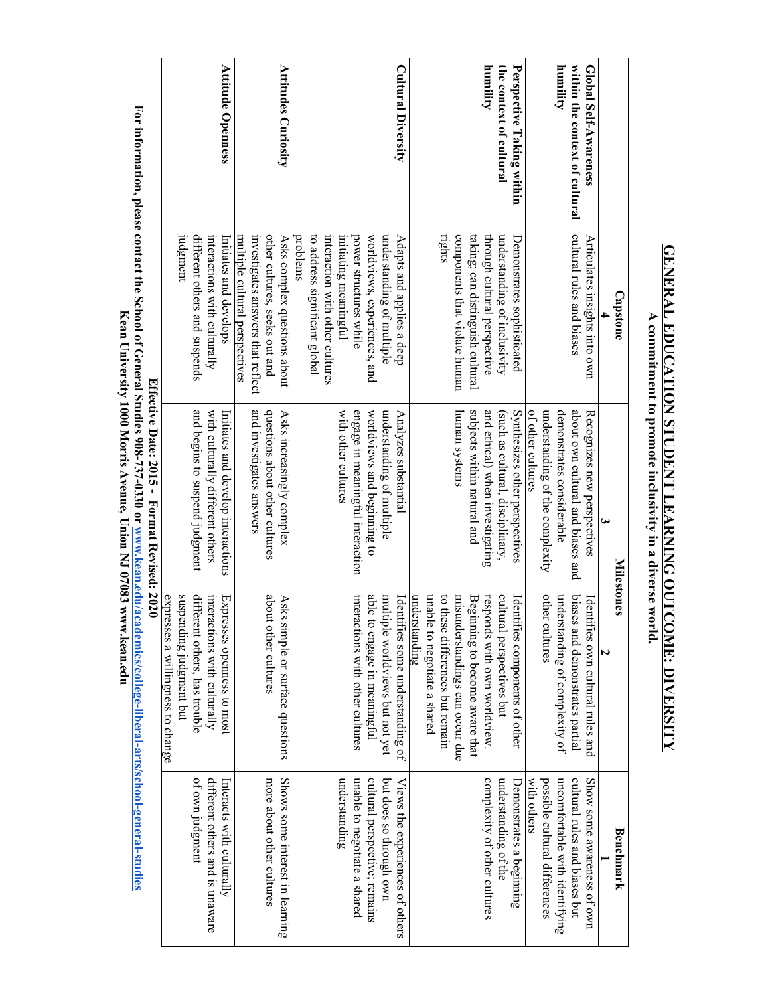|                                | <b>Capstone</b>                           | س<br><b>Milestones</b>                      | N                                                 | Benchmark                       |
|--------------------------------|-------------------------------------------|---------------------------------------------|---------------------------------------------------|---------------------------------|
| Global Self-Awareness          | Articulates insights into own             | Recognizes new perspectives                 | Identi<br>fies own cultural rules and             | Show some awareness of own      |
| within the context of cultural | cultural rules and biases                 | about own cultural and biases and           | biases and demonstrates partial                   | cultural rules and biases but   |
| humility                       |                                           | demonstrates considerable                   | understanding of complexity of                    | uncomfortable with identifying  |
|                                |                                           | understanding of the complexity             | other cultures                                    | possible cultural differences   |
|                                |                                           | of other cultures                           |                                                   | with others                     |
| Perspective Taking within      | Demonstrates sophisticated                | Synthesizes other perspectives              | Identifies components of other                    | Demonstrates a beginning        |
| the context of cultural        | understanding of inclusivity              | (such as cultural, disciplinary,            | cultural perspectives but                         | understanding of the            |
| humility                       | through cultural perspective              | and ethical) when investigating             | responds with own worldview                       | complexity of other cultures    |
|                                | taking; can distinguish cultural          | subjects within natural and                 | Beginning to become aware that                    |                                 |
|                                | components that violate human             | human systems                               | misunderstandings can occur due                   |                                 |
|                                | rights                                    |                                             | to these differences but remain                   |                                 |
|                                |                                           |                                             | unable to negotiate a shared                      |                                 |
| <b>Cultural Diversity</b>      | Adapts and applies a deep                 | Analyzes substantial                        | Identifies some understanding of<br>understanding | Views the experiences of others |
|                                | understanding of multiple                 | understanding of multiple                   | multiple worldviews but not yet                   | but does so through own         |
|                                | worldviews, experiences, and              | worldviews and beginning to                 | able to engage in meaningful                      | cultural perspective; remains   |
|                                | power structures while                    | engage in meaningful interaction            | interactions with other cultures                  | unable to negotiate a shared    |
|                                | initiating meaningful                     | with other cultures                         |                                                   | understanding                   |
|                                | interaction with other cultures           |                                             |                                                   |                                 |
|                                | to address significant global<br>problems |                                             |                                                   |                                 |
| <b>Attitudes Curiosity</b>     | Asks complex questions about              | Asks increasingly complex                   | Asks simple or surface questions                  | Shows some interest in learning |
|                                | other cultures, seeks out and             | questions about other cultures              | about<br>other cultures                           | more about other cultures       |
|                                | investigates answers that reflect         | and mvestigates answers                     |                                                   |                                 |
|                                | multiple cultural perspectives            |                                             |                                                   |                                 |
| <b>Attitude Openness</b>       | Initiates and develops                    | Initiates and develop interactions          | Expresses openness to most                        | Interacts with culturally       |
|                                | interactions with culturally              | with culturally different others            | interactions with culturally                      | different others and is unaware |
|                                | different others and suspends             | and begins to suspend judgment              | different others, has trouble                     | of own judgment                 |
|                                | Judgment                                  |                                             | suspending judgment but                           |                                 |
|                                |                                           | Effective Date: 2015 - Format Revised: 2020 | expresses a willingness to change                 |                                 |
|                                |                                           |                                             |                                                   |                                 |

**GENERAL EDUCATION STUDENT LEARNING OUTCOME: DIVERSITY GENERAL EDUCATION STUDENT LEARNING OUTCOME: DIVERSITY** A commitment to promote inclusivity in a diverse world. **A commitment to promote inclusivity in a diverse world.**

For information, please contact the School of General Studies 908-737-0330 or www.kean.edu/academics/college-liberal-arts/school-general-studies<br>For information, please contact the School of General Studies 908-737-0330 or **For information, please contact the School of General Studies 908-737-0330 or** Kean University 1000 Morris Avenue, Union NJ 07083 www.kean.edu **Kean University 1000 Morris Avenue, Union NJ 07083 www.kean.eduwww.kean.edu/academics/college-liberal-arts/school-general-studies**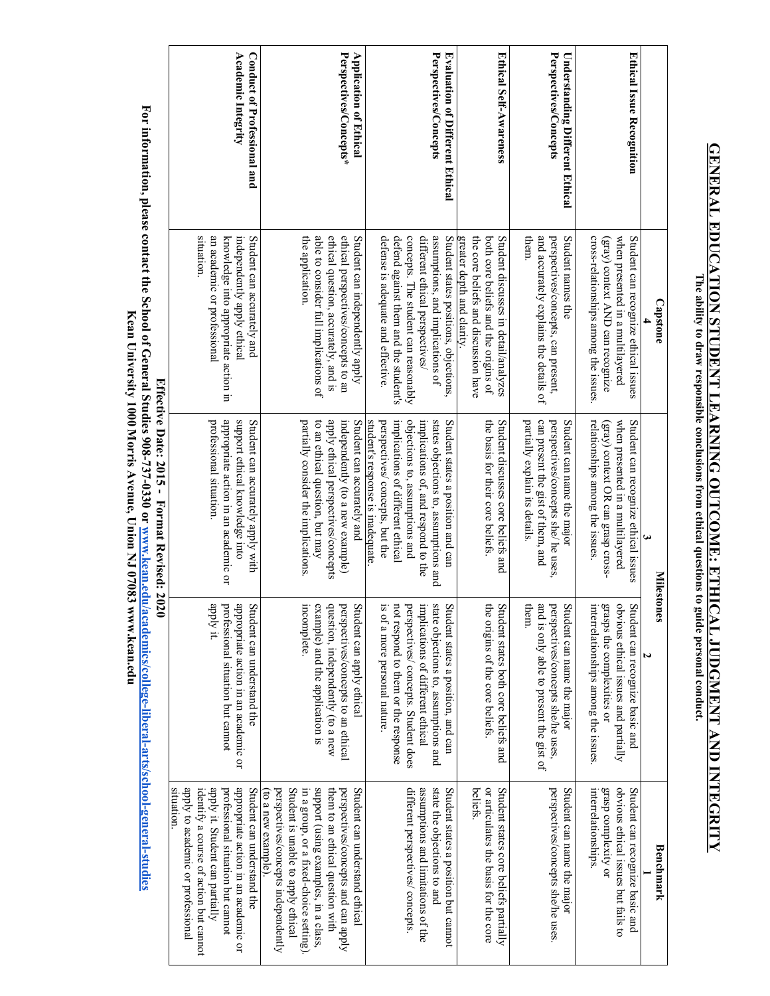## **GENERAL EDUCATION STUDENT LEARNING OUTCOME: ETHICAL JUDGMENT AND INTEGRITY GENERAL EDUCATION STUDENT LEARNING OUTCOME: ETHICAL JUDGMENT AND INTEGRITY** The ability to draw responsible conclusions from ethical questions to guide personal conduct. **The ability to draw responsible conclusions from ethical questions to guide personal conduct.**

|                                             | Academic Integrity<br>Conduct of Professional and                                                                                                                                                                                       | Perspectives/Concepts*<br><b>Application of Ethical</b>                                                                                                                                                                                                                                         | Perspectives/Concepts<br><b>Evaluation of Different Ethical</b>                                                                                                                                                                                                | Ethical Self-Awareness                                                                                                                             | Perspectives/Concepts<br><b>Understanding Different Ethical</b>                                                                         | Ethical Issue Recognition                                                                                                                                               |
|---------------------------------------------|-----------------------------------------------------------------------------------------------------------------------------------------------------------------------------------------------------------------------------------------|-------------------------------------------------------------------------------------------------------------------------------------------------------------------------------------------------------------------------------------------------------------------------------------------------|----------------------------------------------------------------------------------------------------------------------------------------------------------------------------------------------------------------------------------------------------------------|----------------------------------------------------------------------------------------------------------------------------------------------------|-----------------------------------------------------------------------------------------------------------------------------------------|-------------------------------------------------------------------------------------------------------------------------------------------------------------------------|
|                                             | situation.<br>an academic or professional<br>independently apply ethical<br>Student can accurately and<br>knowledge into appropriate action in                                                                                          | able to consider full implications of<br>ethical question, accurately, and is<br>ethical perspectives/concepts to an<br>the application.<br>Student can independently apply                                                                                                                     | concepts. The student can reasonably<br>defense is adequate and effective.<br>defend against them and the student's<br>different ethical perspectives/<br>assumptions, and implications of<br>Student states positions, objections,                            | the core beliefs and discussion have<br>both core beliefs and the origins of<br>Student discusses in detail/analyzes<br>greater depth and clarity. | and accurately explains the details of<br>them.<br>perspectives/concepts, can present,<br>Student names the                             | cross-relationships among the issues<br>when presented in a multilayered<br>Student can recognize ethical issues<br>(gray) context AND can recognize<br><b>Capstone</b> |
| Effective Date: 2015 - Format Revised: 2020 | appropriate action in an academic or<br>support ethical knowledge into<br>professional situation.<br>Student can accurately apply with                                                                                                  | partially consider the implications.<br>Student can accurately and<br>to an ethical question, but may<br>apply ethical perspectives/concepts<br>independently (to a new example)                                                                                                                | objections to, assumptions and<br>states objections to, assumptions and<br>Student states a position and can<br>student's response is inadequate<br>perspectives/concepts, but the<br>implications of different ethical<br>implications of, and respond to the | the basis for their core beliefs.<br>Student discusses core beliefs and                                                                            | partially explain its details<br>can present the gist of them, and<br>perspectives/concepts she/ he uses,<br>Student can name the major | relationships among the issues.<br>when presented in a multilayered<br>Student can recognize ethical issues<br>(gray) context OR can grasp cross-                       |
|                                             | appropriate action in an academic or<br>apply it.<br>professional situation but cannot<br>Student can understand the                                                                                                                    | example) and the application is<br>incomplete.<br>question, independently (to a new<br>perspectives/concepts to an ethical<br>Student can apply ethical                                                                                                                                         | is of a more personal nature.<br>state objections to, assumptions and<br>not respond to them or the response<br>perspectives/ concepts. Student does<br>implications of different ethical<br>Student states a position, and can                                | the origins of the core beliefs.<br>Student states both core beliefs and                                                                           | them.<br>and is only able to present the gist of<br>perspectives/concepts she/he uses,<br>Student can name the major                    | <b>Milestones</b><br>Student can recognize basic and<br>grasps the complexities or<br>interrelationships among the issues.<br>obvious ethical issues and partially      |
|                                             | apply to academic or professional<br>apply it. Student can partially<br>situation.<br>appropriate action in an academic or<br>Student can understand the<br>professional situation but cannot<br>identify a course of action but cannot | support (using examples, in a class,<br>perspectives/concepts independently<br>Student is unable to apply ethical<br>them to an ethical question with<br>perspectives/concepts and can apply<br>Student can understand ethical<br>in a group, or a fixed-choice setting).<br>to a new example). | assumptions and limitations of the<br>state the objections to and<br>different perspectives/ concepts.<br>Student states a position but cannot                                                                                                                 | or articulates the basis for the core<br>beliefs.<br>Student states core beliefs partially                                                         | perspectives/concepts she/he uses.<br>Student can name the major                                                                        | obvious ethical issues but fails to<br>interrelationships.<br>grasp complexity or<br>Student can recognize basic and<br>Benchmark                                       |

**For information, please contact the School of General Studies 908-737-0330 or www.kean.edu/academics/college-liberal-arts/school-general-studies** For information, please contact the School of General Studies 908-737-0330 or <u>www.kean.edu/academics/college-liberal-arts/school-general-studies</u><br>For information, please contact the School of General Studies 908-737-0330 **University 1000 Morris Avenue, Union NJ 07083 www.kean.edu**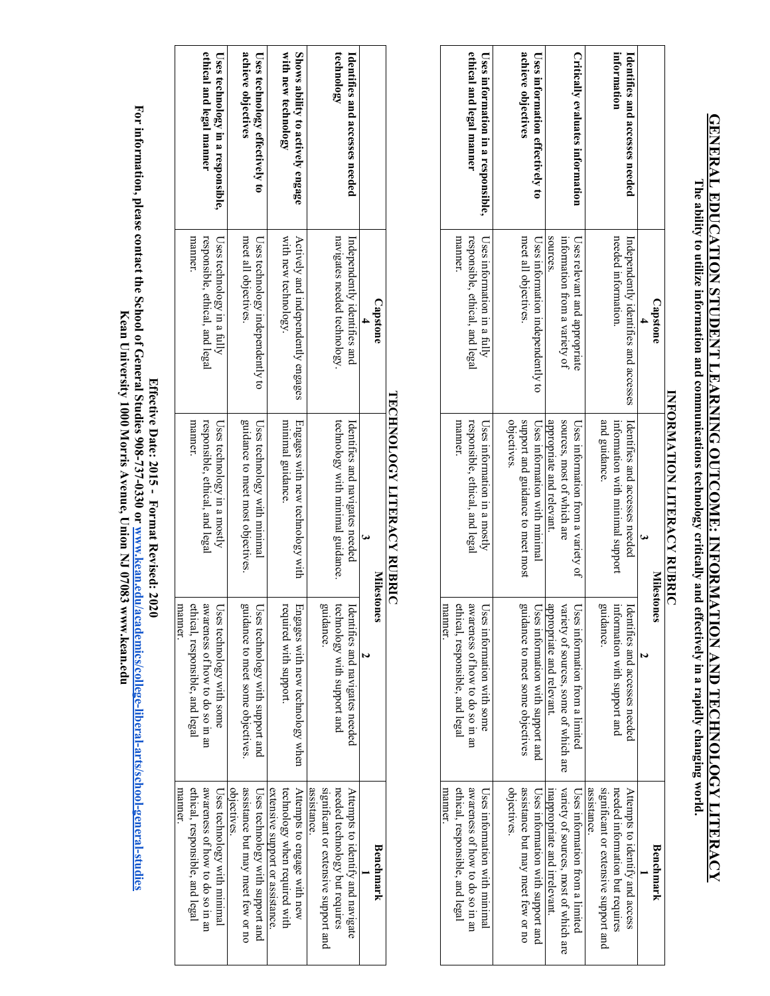# **GENERAL EDUCATION STUDENT LEARNING OUTCOME: INFORMATION AND TECHNOLOGY LITERACY GENERAL EDUCATION STUDENT LEARNING OUTCOME: INFORMATION AND TECHNOLOGY LITERACY**

The ability to utilize information and communications technology critically and effectively in a rapidly changing world. **The ability to utilize information and communications technology critically and effectively in a rapidly changing world.**

|                                    |                                       | <b>ENFIGHTEN FIGHT EFFIGHT FIGHT FOOTEN</b> |                                       |                                       |
|------------------------------------|---------------------------------------|---------------------------------------------|---------------------------------------|---------------------------------------|
|                                    | <b>Capstone</b>                       | <b>Milestone</b>                            | S                                     | Benchmark                             |
|                                    |                                       |                                             |                                       |                                       |
| Identifies and accesses needed     | Independently identifies and accesses | Identifies and accesses needed              | Identifies and accesses needed        | Attempts to identify and access       |
| information                        | needed information.                   | information with minimal support            | information with support and          | needed information but requires       |
|                                    |                                       | and guidance.                               | guidance.                             | significant or extensive support and  |
|                                    |                                       |                                             |                                       | assistance                            |
| Critically evaluates information   | Uses relevant and appropriate         | Uses information from a variety of          | Uses information from a limited       | Uses information iron a limited       |
|                                    | information from a variety of         | sources, most of which are                  | variety of sources, some of which are | variety of sources, most of which are |
|                                    | sources.                              | appropriate and relevant.                   | appropriate and relevant.             | inappropriate and irrelevant.         |
| Uses information effectively to    | Uses information independently to     | Uses information with minimal               | Uses information with support and     | Uses information with support and     |
| achieve objectives                 | meet all objectives.                  | support and guidance to meet most           | guidance to meet some objectives      | assistance but may meet few or no     |
|                                    |                                       | objectives.                                 |                                       | objectives.                           |
| Uses information in a responsible, | Uses information in a fully           | Uses information in a mostly                | Uses information with some            | Uses information with minimal         |
| ethical and legal manner           | responsible, ethical, and legal       | responsible, ethical, and legal             | awareness of how to do so in an       | awareness of how to do so in an       |
|                                    | manner.                               | manner.                                     | ethical, responsible, and legal       | ethical, responsible, and legal       |
|                                    |                                       |                                             | manner                                | manner                                |

### INFORMATION LITERACY RUBRIC **INFORMATION LITERACY RUBRIC**

|                                   |                                    | TECHNOLOGY LITERACY RUBRIC        |                                   |                                      |
|-----------------------------------|------------------------------------|-----------------------------------|-----------------------------------|--------------------------------------|
|                                   | <b>Capstone</b>                    |                                   | <b>Milestones</b>                 | Benchmark                            |
|                                   |                                    |                                   |                                   |                                      |
| Identifies and accesses needed    | Independently identifies and       | Identifies and navigates needed   | Identifies and navigates needed   | Attempts to identify and navigate    |
| technology                        | navigates needed technology.       | technology with minimal guidance. | technology with support and       | needed technology but requires       |
|                                   |                                    |                                   | guidance.                         | significant or extensive support and |
|                                   |                                    |                                   |                                   | assistance                           |
| Shows ability to actively engage  | Actively and independently engages | Engages with new technology with  | Engages with new technology when  | Attempts to engage with new          |
| with new technology               | with new technology.               | minimal guidance.                 | required with support.            | technology when required with        |
|                                   |                                    |                                   |                                   | extensive support or assistance      |
| Uses technology effectively to    | Uses technology independently to   | Uses technology with minimal      | Uses technology with support and  | Uses technology with support and     |
| achieve objectives                | meet all objectives.               | guidance to meet most objectives. | guidance to meet some objectives. | assistance but may meet few or no    |
|                                   |                                    |                                   |                                   | objectives                           |
| Uses technology in a responsible, | Uses technology in a fully         | Uses technology in a mostly       | Uses technology with some         | Uses technology with minimal         |
| ethical and legal manner          | responsible, ethical, and legal    | responsible, ethical, and legal   | awareness of how to do so in an   | awareness of how to do so in an      |
|                                   | manner.                            | manner.                           | ethical, responsible, and legal   | ethical, responsible, and legal      |
|                                   |                                    |                                   | manner                            | manner                               |
|                                   |                                    |                                   |                                   |                                      |

Effective Dease contact the School of General Studies 908-737-0330 or www.kean.edu/academics/college-liberal-arts/school-general-studies<br>For information, please contact the School of General Studies 908-737-0330 or <u>www.ke</u> **For information, please contact the School of General Studies 908-737-0330 or** Kean University 1000 Morris Avenue, Union NJ 07083 www.kean.edu **Kean University 1000 Morris Avenue, Union NJ 07083 www.kean.eduEffective Date: 2015 - Format Revised: 2020 www.kean.edu/academics/college-liberal-arts/school-general-studies**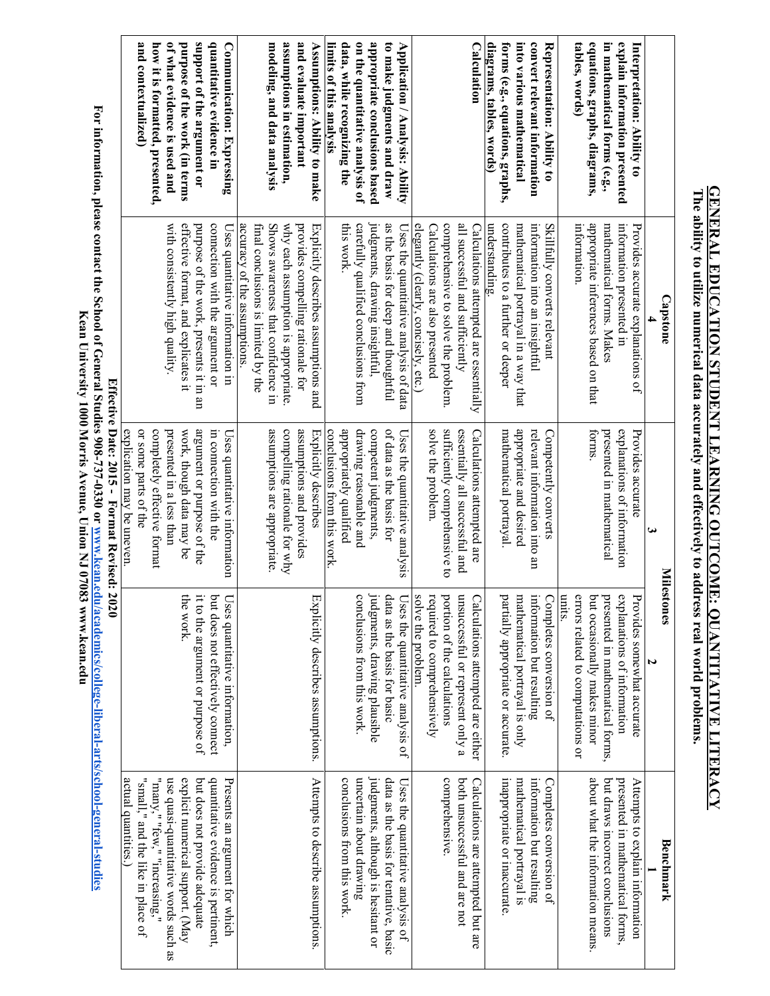| explain information presented<br>Interpretation: Ability to                    | information presented in<br>Provides accurate explanations of<br><b>Capstone</b>  | explanations of information<br>Provides accurate<br>ω<br>Miles | explanations of information<br>rovides somewhat accurate<br>tones                                               | presented in mathematical forms,<br>Attempts to explain information<br>Benchmark |
|--------------------------------------------------------------------------------|-----------------------------------------------------------------------------------|----------------------------------------------------------------|-----------------------------------------------------------------------------------------------------------------|----------------------------------------------------------------------------------|
| equations, graphs, diagrams,<br>in mathematical forms (e.g.,<br>tables, words) | appropriate inferences based on that<br>mathematical forms. Makes<br>information. | forms.<br>presented in mathematical                            | errors related to computations or<br>units.<br>out occasionally makes minor<br>oresented in mathematical forms, | about what the information means<br>but draws incorrect conclusions              |
| Representation: Ability to                                                     | Skillfully converts relevant                                                      | Competently converts                                           | $\log$ ompletes conversion of                                                                                   | Completes conversion of                                                          |
| convert relevant information                                                   | information into an insightful                                                    | relevant information into an                                   | nformation but resulting                                                                                        | information but resulting                                                        |
| into various mathematical                                                      | mathematical portrayal in a way that                                              | appropriate and desired                                        | nathematical portrayal is only                                                                                  | mathematical portrayal is                                                        |
| forms (e.g., equations, graphs,                                                | contributes to a further or deeper                                                | mathematical portrayal.                                        | partially appropriate or accurate.                                                                              | inappropriate or inaccurate.                                                     |
| diagrams, tables, words)                                                       | understanding.                                                                    |                                                                |                                                                                                                 |                                                                                  |
| Calculation                                                                    | Calculations attempted are essentially                                            | Calculations attempted are                                     | $\Box$ alculations attempted are either                                                                         | Calculations are attempted but are                                               |
|                                                                                | all successful and sufficiently                                                   | essentially all successful and                                 | msuccessful or represent only a                                                                                 | both unsuccessful and are not                                                    |
|                                                                                | comprehensive to solve the problem.                                               | sufficiently comprehensive to                                  | oction of the calculations                                                                                      | comprehensive.                                                                   |
|                                                                                | Calculations are also presented                                                   | solve the problem                                              | equired to comprehensively                                                                                      |                                                                                  |
| Application / Analysis: Ability                                                | elegantly (clearly, concisely, etc.)<br>Uses the quantitative analysis of data    | Uses the quantitative analysis                                 | solve the problem.<br>$\sqrt{1}$ ses the quantitative analysis of                                               | Uses the quantitative analysis of                                                |
| to make judgments and draw                                                     | as the basis for deep and thoughtful                                              | of data as the basis for                                       | lata as the basis for basic                                                                                     | data as the basis for tentative, basic                                           |
| appropriate conclusions based                                                  | judgments, drawing insightful,                                                    | competent judgments,                                           | udgments, drawing plausible                                                                                     | judgments, although is hesitant or                                               |
| on the quantitative analysis of                                                | carefully qualified conclusions from                                              | drawing reasonable and                                         | conclusions from this work.                                                                                     | uncertain about drawing                                                          |
| data, while recognizing the<br>limits of this analysis                         | this work.                                                                        | appropriately qualified<br>conclusions from this work.         |                                                                                                                 | conclusions from this work                                                       |
| Assumptions: Ability to make                                                   | Explicitly describes assumptions and                                              | Explicitly describes                                           | $\exists$ xplicitly describes assumptions.                                                                      | Attempts to describe assumptions                                                 |
| and evaluate important                                                         | provides compelling rationale for                                                 | assumptions and provides                                       |                                                                                                                 |                                                                                  |
| assumptions in estimation,                                                     | why each assumption is appropriate                                                | compelling rationale for why                                   |                                                                                                                 |                                                                                  |
| modeling, and data analysis                                                    | Shows awareness that confidence in                                                | assumptions are appropriate                                    |                                                                                                                 |                                                                                  |
|                                                                                | final conclusions is limited by the                                               |                                                                |                                                                                                                 |                                                                                  |
| Communication: Expressing                                                      | accuracy of the assumptions<br>Uses quantitative information in                   | Uses quantitative information                                  | Uses quantitative information,                                                                                  | Presents an argument for which                                                   |
| quantitative evidence in                                                       | connection with the argument or                                                   | in connection with the                                         | out does not effectively connect                                                                                | quantitative evidence is pertinent,                                              |
| support of the argument or                                                     | purpose of the work, presents it in an                                            | argument or purpose of the                                     | t to the argument or purpose of                                                                                 | but does not provide adequate                                                    |
| purpose of the work (in terms                                                  | effective format, and explicates it                                               | work, though data may be                                       | he work.                                                                                                        | explicit numerical support. (May                                                 |
| of what evidence is used and                                                   | with consistently high quality.                                                   | presented in a less than                                       |                                                                                                                 | use quasi-quantitative words such as                                             |
| how it is formatted, presented,                                                |                                                                                   | completely effective format                                    |                                                                                                                 | "many," "few," "increasing,"                                                     |
| and contextualized)                                                            |                                                                                   | or some parts of the                                           |                                                                                                                 | "small," and the like in place of                                                |
|                                                                                |                                                                                   | explication may be uneven.                                     |                                                                                                                 | actual quantities.)                                                              |
|                                                                                |                                                                                   | Effective Date: 2015 - Format Revised: 2020                    |                                                                                                                 |                                                                                  |

**The ability to utilize numerical data accurately and effectively to address real world problems.**

The ability to utilize numerical data accurately and effectively to address real world problems.

**GENERAL EDUCATION STUDENT LEARNING OUTCOME: QUANTITATIVE LITERACY**

**GENERAL EDUCATION STUDENT LEARNING OUTCOME: QUANTITATIVE LITERACY** 

For information, please contact the School of General Studies 908-737-0330 or <u>www.kean.edu/academics/college-liberal-arts/school-general-studies</u><br>Kean Universe contact the School of General Studies 908-737-0330 or <u>www.ke</u> **For information, please contact the School of General Studies 908-737-0330 or Kean University 1000 Morris Avenue, Union NJ 07083 www.kean.eduwww.kean.edu/academics/college-liberal-arts/school-general-studies**